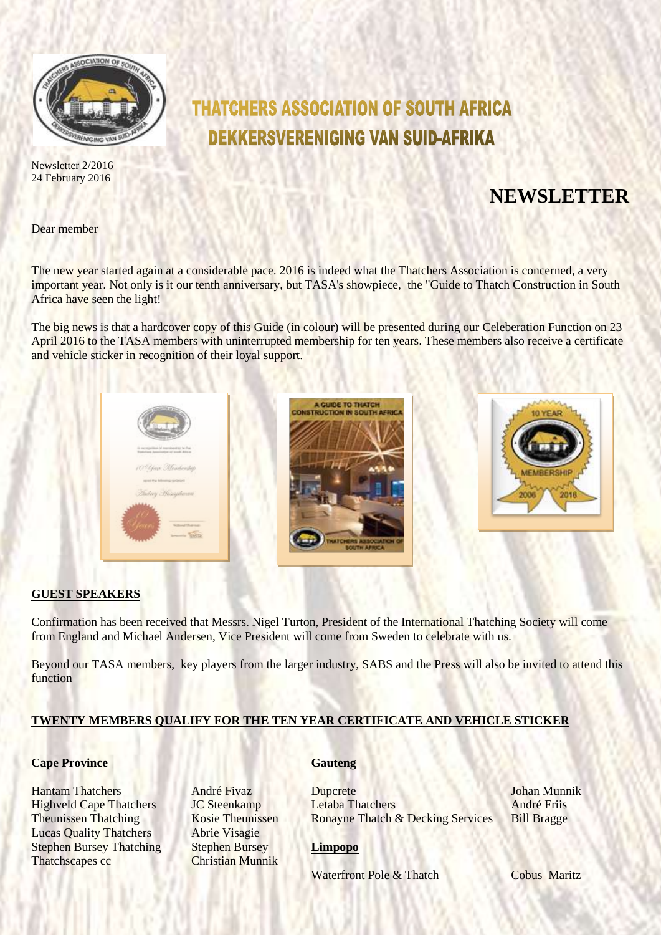

Newsletter 2/2016 24 February 2016

# **THATCHERS ASSOCIATION OF SOUTH AFRICA DEKKERSVERENIGING VAN SUID-AFRIKA**

## **NEWSLETTER**

Dear member

The new year started again at a considerable pace. 2016 is indeed what the Thatchers Association is concerned, a very important year. Not only is it our tenth anniversary, but TASA's showpiece, the "Guide to Thatch Construction in South Africa have seen the light!

The big news is that a hardcover copy of this Guide (in colour) will be presented during our Celeberation Function on 23 April 2016 to the TASA members with uninterrupted membership for ten years. These members also receive a certificate and vehicle sticker in recognition of their loyal support.



#### **GUEST SPEAKERS**

Confirmation has been received that Messrs. Nigel Turton, President of the International Thatching Society will come from England and Michael Andersen, Vice President will come from Sweden to celebrate with us.

Beyond our TASA members, key players from the larger industry, SABS and the Press will also be invited to attend this function

## **TWENTY MEMBERS QUALIFY FOR THE TEN YEAR CERTIFICATE AND VEHICLE STICKER**

### **Cape Province <b>Gauteng**

**Lucas Quality Thatchers** Abrie Visagie Stephen Bursey Thatching Stephen Bursey **Limpopo** Thatchscapes cc **Christian Munnik** 

Hantam Thatchers André Fivaz Dupcrete Johan Munnik Highveld Cape Thatchers JC Steenkamp Letaba Thatchers André Friis Theunissen Thatching Kosie Theunissen Ronayne Thatch & Decking Services Bill Bragge

Waterfront Pole & Thatch Cobus Maritz